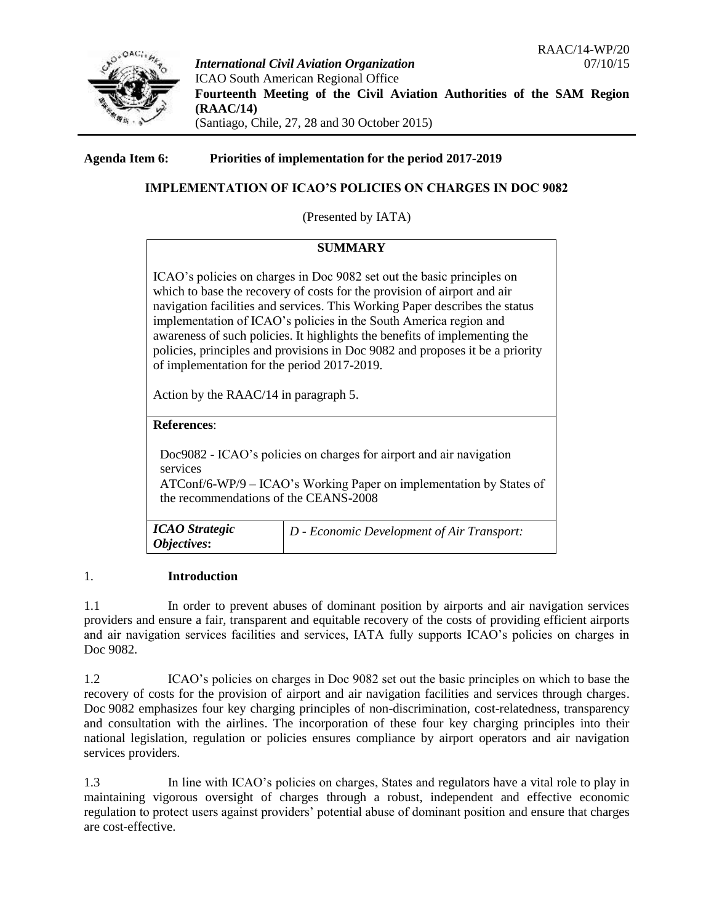

*International Civil Aviation Organization* 07/10/15 ICAO South American Regional Office **Fourteenth Meeting of the Civil Aviation Authorities of the SAM Region (RAAC/14)**  (Santiago, Chile, 27, 28 and 30 October 2015)

**Agenda Item 6: Priorities of implementation for the period 2017-2019**

# **IMPLEMENTATION OF ICAO'S POLICIES ON CHARGES IN DOC 9082**

(Presented by IATA)

# **SUMMARY**

ICAO's policies on charges in Doc 9082 set out the basic principles on which to base the recovery of costs for the provision of airport and air navigation facilities and services. This Working Paper describes the status implementation of ICAO's policies in the South America region and awareness of such policies. It highlights the benefits of implementing the policies, principles and provisions in Doc 9082 and proposes it be a priority of implementation for the period 2017-2019.

Action by the RAAC/14 in paragraph 5.

### **References**:

Doc9082 - ICAO's policies on charges for airport and air navigation services ATConf/6-WP/9 – ICAO's Working Paper on implementation by States of

the recommendations of the CEANS-2008

| <b>ICAO</b> Strategic | $ D - E$ conomic Development of Air Transport: |
|-----------------------|------------------------------------------------|
| Objectives:           |                                                |

## 1. **Introduction**

1.1 In order to prevent abuses of dominant position by airports and air navigation services providers and ensure a fair, transparent and equitable recovery of the costs of providing efficient airports and air navigation services facilities and services, IATA fully supports ICAO's policies on charges in Doc 9082.

1.2 ICAO's policies on charges in Doc 9082 set out the basic principles on which to base the recovery of costs for the provision of airport and air navigation facilities and services through charges. Doc 9082 emphasizes four key charging principles of non-discrimination, cost-relatedness, transparency and consultation with the airlines. The incorporation of these four key charging principles into their national legislation, regulation or policies ensures compliance by airport operators and air navigation services providers.

1.3 In line with ICAO's policies on charges, States and regulators have a vital role to play in maintaining vigorous oversight of charges through a robust, independent and effective economic regulation to protect users against providers' potential abuse of dominant position and ensure that charges are cost-effective.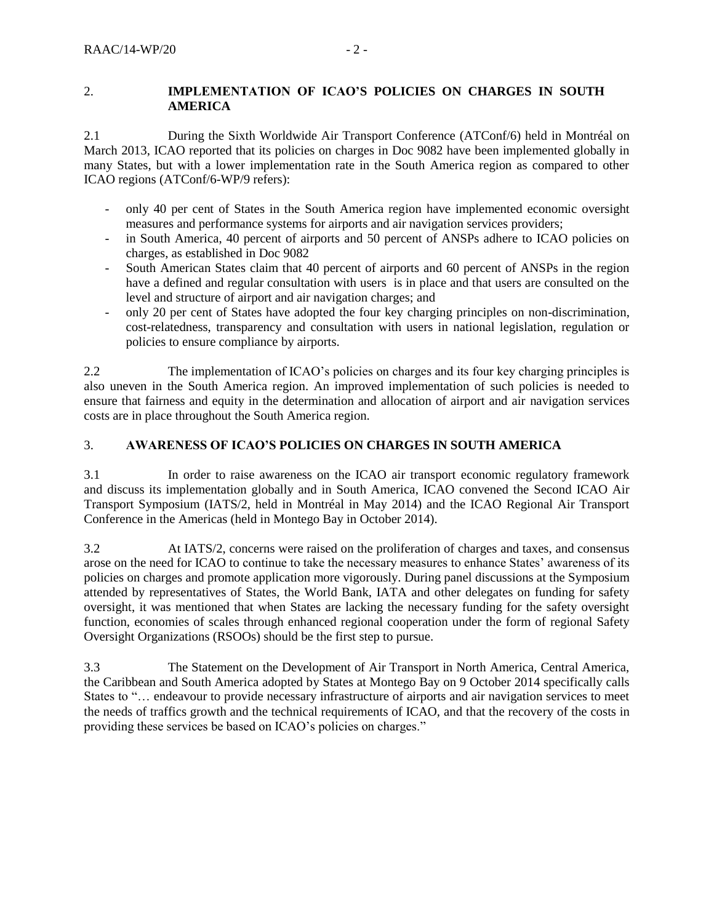### 2. **IMPLEMENTATION OF ICAO'S POLICIES ON CHARGES IN SOUTH AMERICA**

2.1 During the Sixth Worldwide Air Transport Conference (ATConf/6) held in Montréal on March 2013, ICAO reported that its policies on charges in Doc 9082 have been implemented globally in many States, but with a lower implementation rate in the South America region as compared to other ICAO regions (ATConf/6-WP/9 refers):

- only 40 per cent of States in the South America region have implemented economic oversight measures and performance systems for airports and air navigation services providers;
- in South America, 40 percent of airports and 50 percent of ANSPs adhere to ICAO policies on charges, as established in Doc 9082
- South American States claim that 40 percent of airports and 60 percent of ANSPs in the region have a defined and regular consultation with users is in place and that users are consulted on the level and structure of airport and air navigation charges; and
- only 20 per cent of States have adopted the four key charging principles on non-discrimination, cost-relatedness, transparency and consultation with users in national legislation, regulation or policies to ensure compliance by airports.

2.2 The implementation of ICAO's policies on charges and its four key charging principles is also uneven in the South America region. An improved implementation of such policies is needed to ensure that fairness and equity in the determination and allocation of airport and air navigation services costs are in place throughout the South America region.

## 3. **AWARENESS OF ICAO'S POLICIES ON CHARGES IN SOUTH AMERICA**

3.1 In order to raise awareness on the ICAO air transport economic regulatory framework and discuss its implementation globally and in South America, ICAO convened the Second ICAO Air Transport Symposium (IATS/2, held in Montréal in May 2014) and the ICAO Regional Air Transport Conference in the Americas (held in Montego Bay in October 2014).

3.2 At IATS/2, concerns were raised on the proliferation of charges and taxes, and consensus arose on the need for ICAO to continue to take the necessary measures to enhance States' awareness of its policies on charges and promote application more vigorously. During panel discussions at the Symposium attended by representatives of States, the World Bank, IATA and other delegates on funding for safety oversight, it was mentioned that when States are lacking the necessary funding for the safety oversight function, economies of scales through enhanced regional cooperation under the form of regional Safety Oversight Organizations (RSOOs) should be the first step to pursue.

3.3 The Statement on the Development of Air Transport in North America, Central America, the Caribbean and South America adopted by States at Montego Bay on 9 October 2014 specifically calls States to "… endeavour to provide necessary infrastructure of airports and air navigation services to meet the needs of traffics growth and the technical requirements of ICAO, and that the recovery of the costs in providing these services be based on ICAO's policies on charges."